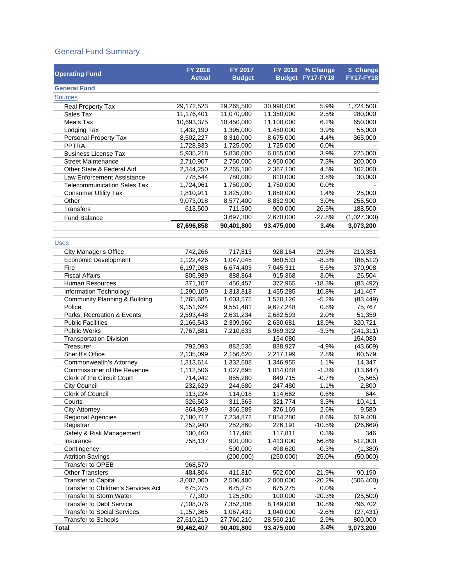#### General Fund Summary

| <b>Operating Fund</b>               | FY 2016<br><b>Actual</b> | FY 2017<br><b>Budget</b> |            | FY 2018 % Change<br>Budget FY17-FY18 | \$ Change<br><b>FY17-FY18</b> |
|-------------------------------------|--------------------------|--------------------------|------------|--------------------------------------|-------------------------------|
| <b>General Fund</b>                 |                          |                          |            |                                      |                               |
| <b>Sources</b>                      |                          |                          |            |                                      |                               |
| Real Property Tax                   | 29,172,523               | 29,265,500               | 30,990,000 | 5.9%                                 | 1,724,500                     |
| Sales Tax                           | 11,176,401               | 11,070,000               | 11,350,000 | 2.5%                                 | 280,000                       |
| <b>Meals Tax</b>                    | 10,693,375               | 10,450,000               | 11,100,000 | 6.2%                                 | 650,000                       |
| Lodging Tax                         | 1,432,190                | 1,395,000                | 1,450,000  | 3.9%                                 | 55,000                        |
| Personal Property Tax               | 8,502,227                | 8,310,000                | 8,675,000  | 4.4%                                 | 365,000                       |
| <b>PPTRA</b>                        | 1,728,833                | 1,725,000                | 1,725,000  | 0.0%                                 |                               |
| <b>Business License Tax</b>         | 5,935,218                | 5,830,000                | 6,055,000  | 3.9%                                 | 225,000                       |
| <b>Street Maintenance</b>           | 2,710,907                | 2,750,000                | 2,950,000  | 7.3%                                 | 200,000                       |
| Other State & Federal Aid           | 2,344,250                | 2,265,100                | 2,367,100  | 4.5%                                 | 102,000                       |
| Law Enforcement Assistance          | 778,544                  | 780,000                  | 810,000    | 3.8%                                 | 30,000                        |
| <b>Telecommunication Sales Tax</b>  | 1,724,961                | 1,750,000                | 1,750,000  | 0.0%                                 |                               |
| <b>Consumer Utility Tax</b>         | 1,810,911                | 1,825,000                | 1,850,000  | 1.4%                                 | 25,000                        |
| Other                               | 9,073,018                | 8,577,400                | 8,832,900  | 3.0%                                 | 255,500                       |
| <b>Transfers</b>                    | 613,500                  | 711,500                  | 900,000    | 26.5%                                | 188,500                       |
| <b>Fund Balance</b>                 |                          | 3,697,300                | 2,670,000  | $-27.8%$                             | (1,027,300)                   |
|                                     | 87,696,858               | 90,401,800               | 93,475,000 | 3.4%                                 | 3,073,200                     |
|                                     |                          |                          |            |                                      |                               |
| <b>Uses</b>                         |                          |                          |            |                                      |                               |
| <b>City Manager's Office</b>        | 742.266                  | 717,813                  | 928,164    | 29.3%                                | 210,351                       |
| Economic Development                | 1,122,426                | 1,047,045                | 960,533    | $-8.3%$                              | (86, 512)                     |
| Fire                                | 6,197,988                | 6,674,403                | 7,045,311  | 5.6%                                 | 370,908                       |
| <b>Fiscal Affairs</b>               | 806,989                  | 888,864                  | 915,368    | 3.0%                                 | 26,504                        |
| <b>Human Resources</b>              | 371,107                  | 456,457                  | 372,965    | $-18.3%$                             | (83, 492)                     |
| Information Technology              | 1,290,109                | 1,313,818                | 1,455,285  | 10.8%                                | 141,467                       |
| Community Planning & Building       | 1,765,685                | 1,603,575                | 1,520,126  | $-5.2%$                              | (83, 449)                     |
| Police                              | 9,151,624                | 9,551,481                | 9,627,248  | 0.8%                                 | 75,767                        |
| Parks, Recreation & Events          | 2,593,448                | 2,631,234                | 2,682,593  | 2.0%                                 | 51,359                        |
| <b>Public Facilities</b>            | 2,166,543                | 2,309,960                | 2,630,681  | 13.9%                                | 320,721                       |
| <b>Public Works</b>                 | 7,767,881                | 7,210,633                | 6,969,322  | $-3.3%$                              | (241, 311)                    |
| <b>Transportation Division</b>      |                          |                          | 154,080    | $\overline{\phantom{a}}$             | 154,080                       |
| Treasurer                           | 792,093                  | 882,536                  | 838,927    | $-4.9%$                              | (43, 609)                     |
| Sheriff's Office                    | 2,135,099                | 2,156,620                | 2,217,199  | 2.8%                                 | 60,579                        |
| Commonwealth's Attorney             | 1,313,614                | 1,332,608                | 1,346,955  | 1.1%                                 | 14,347                        |
| Commissioner of the Revenue         | 1,112,506                | 1,027,695                | 1,014,048  | $-1.3%$                              | (13, 647)                     |
| Clerk of the Circuit Court          | 714,942                  | 855,280                  | 849,715    | $-0.7%$                              | (5, 565)                      |
| <b>City Council</b>                 | 232,629                  | 244,680                  | 247,480    | 1.1%                                 | 2,800                         |
| Clerk of Council                    | 113,224                  | 114,018                  | 114,662    | 0.6%                                 | 644                           |
| Courts                              | 326,503                  | 311,363                  | 321,774    | 3.3%                                 | 10,411                        |
| <b>City Attorney</b>                | 364,869                  | 366,589                  | 376,169    | 2.6%                                 | 9,580                         |
| Regional Agencies                   | 7,180,717                | 7,234,872                | 7,854,280  | 8.6%                                 | 619,408                       |
| Registrar                           | 252,940                  | 252,860                  | 226,191    | $-10.5%$                             | (26, 669)                     |
| Safety & Risk Management            | 100,460                  | 117,465                  | 117,811    | 0.3%                                 | 346                           |
| Insurance                           | 758,137                  | 901,000                  | 1,413,000  | 56.8%                                | 512,000                       |
| Contingency                         |                          | 500,000                  | 498,620    | $-0.3%$                              | (1,380)                       |
| <b>Attrition Savings</b>            |                          | (200,000)                | (250,000)  | 25.0%                                | (50,000)                      |
| <b>Transfer to OPEB</b>             | 968,579                  |                          |            |                                      |                               |
| <b>Other Transfers</b>              | 484,804                  | 411,810                  | 502,000    | 21.9%                                | 90,190                        |
| <b>Transfer to Capital</b>          | 3,007,000                | 2,506,400                | 2,000,000  | $-20.2%$                             | (506, 400)                    |
| Transfer to Children's Services Act | 675,275                  | 675,275                  | 675,275    | 0.0%                                 |                               |
| <b>Transfer to Storm Water</b>      | 77,300                   | 125,500                  | 100,000    | $-20.3%$                             | (25, 500)                     |
| <b>Transfer to Debt Service</b>     | 7,108,076                | 7,352,306                | 8,149,008  | 10.8%                                | 796,702                       |
| <b>Transfer to Social Services</b>  | 1,157,365                | 1,067,431                | 1,040,000  | $-2.6%$                              | (27, 431)                     |
| <b>Transfer to Schools</b>          | 27,610,210               | 27,760,210               | 28,560,210 | 2.9%                                 | 800,000                       |
| <b>Total</b>                        | 90,462,407               | 90,401,800               | 93,475,000 | 3.4%                                 | 3,073,200                     |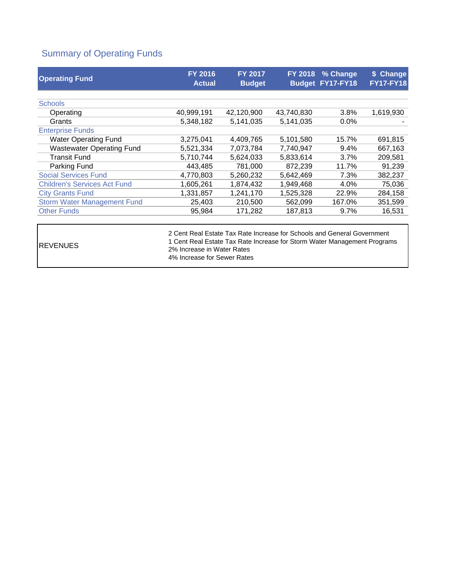### Summary of Operating Funds

| <b>Operating Fund</b>               | <b>FY 2016</b><br><b>Actual</b> | <b>FY 2017</b><br><b>Budget</b> | <b>FY 2018</b> | % Change<br>Budget FY17-FY18 | \$ Change<br><b>FY17-FY18</b> |
|-------------------------------------|---------------------------------|---------------------------------|----------------|------------------------------|-------------------------------|
| <b>Schools</b>                      |                                 |                                 |                |                              |                               |
|                                     |                                 |                                 |                |                              |                               |
| Operating                           | 40,999,191                      | 42,120,900                      | 43,740,830     | 3.8%                         | 1,619,930                     |
| Grants                              | 5,348,182                       | 5,141,035                       | 5, 141, 035    | $0.0\%$                      |                               |
| <b>Enterprise Funds</b>             |                                 |                                 |                |                              |                               |
| <b>Water Operating Fund</b>         | 3,275,041                       | 4,409,765                       | 5,101,580      | 15.7%                        | 691,815                       |
| <b>Wastewater Operating Fund</b>    | 5,521,334                       | 7,073,784                       | 7,740,947      | 9.4%                         | 667,163                       |
| <b>Transit Fund</b>                 | 5,710,744                       | 5,624,033                       | 5,833,614      | 3.7%                         | 209,581                       |
| Parking Fund                        | 443,485                         | 781,000                         | 872,239        | 11.7%                        | 91,239                        |
| <b>Social Services Fund</b>         | 4,770,803                       | 5,260,232                       | 5,642,469      | 7.3%                         | 382,237                       |
| <b>Children's Services Act Fund</b> | 1,605,261                       | 1,874,432                       | 1,949,468      | 4.0%                         | 75,036                        |
| <b>City Grants Fund</b>             | 1,331,857                       | 1,241,170                       | 1,525,328      | 22.9%                        | 284,158                       |
| <b>Storm Water Management Fund</b>  | 25,403                          | 210,500                         | 562,099        | 167.0%                       | 351,599                       |
| <b>Other Funds</b>                  | 95,984                          | 171,282                         | 187,813        | $9.7\%$                      | 16,531                        |
|                                     |                                 |                                 |                |                              |                               |

REVENUES

2 Cent Real Estate Tax Rate Increase for Schools and General Government 1 Cent Real Estate Tax Rate Increase for Storm Water Management Programs 2% Increase in Water Rates 4% Increase for Sewer Rates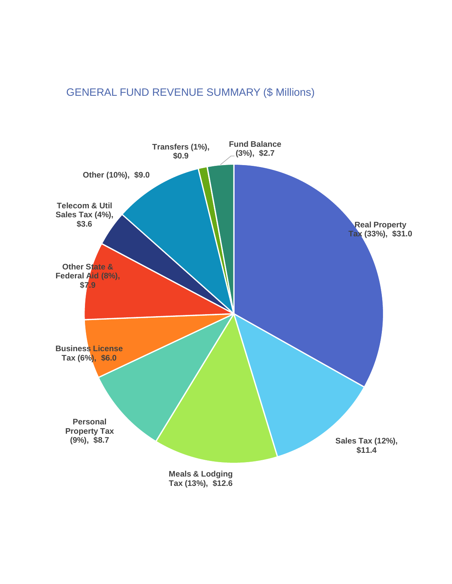## GENERAL FUND REVENUE SUMMARY (\$ Millions)

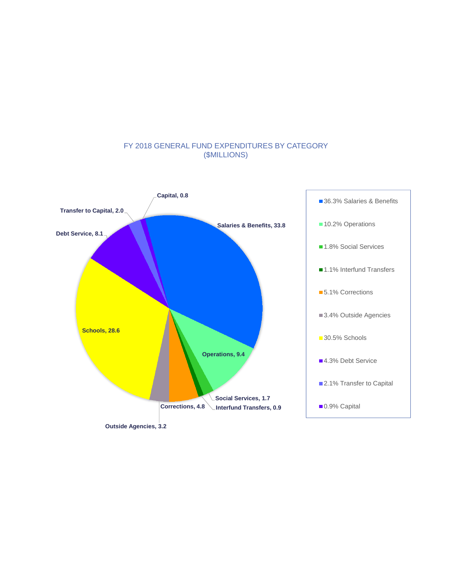

#### FY 2018 GENERAL FUND EXPENDITURES BY CATEGORY (\$MILLIONS)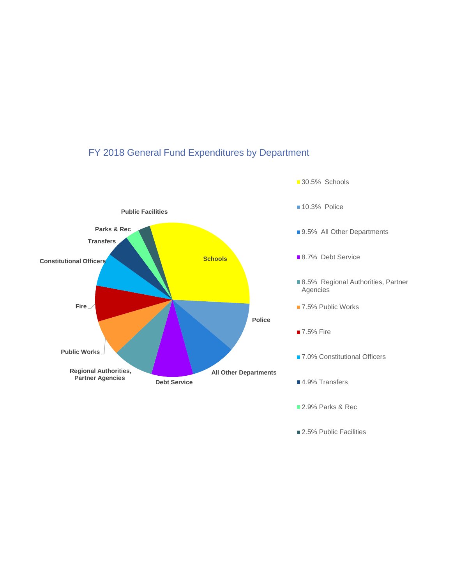

■ 2.5% Public Facilities

# FY 2018 General Fund Expenditures by Department